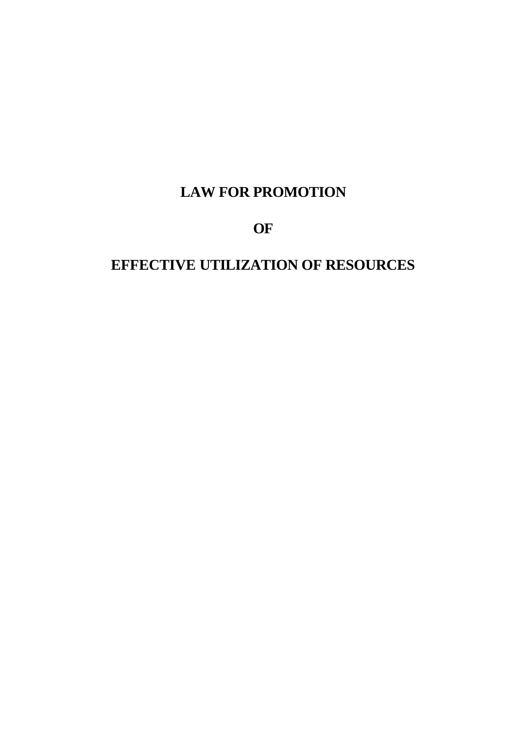# **LAW FOR PROMOTION**

**OF**

# **EFFECTIVE UTILIZATION OF RESOURCES**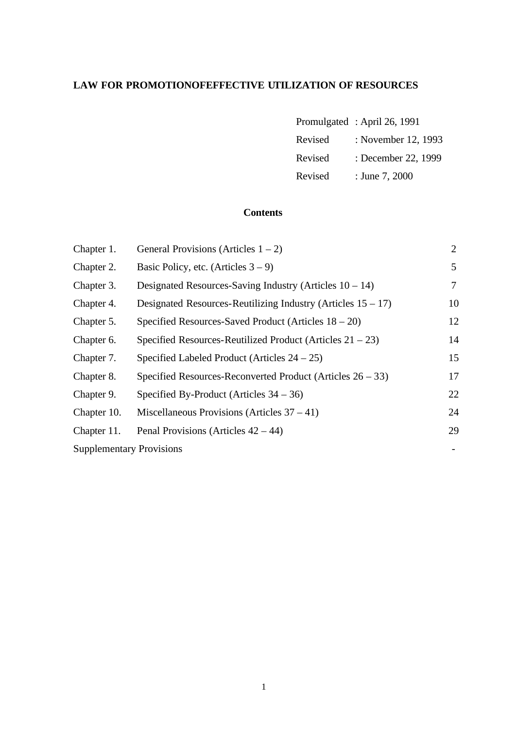### **LAW FOR PROMOTIONOFEFFECTIVE UTILIZATION OF RESOURCES**

|         | Promulgated: April 26, 1991 |
|---------|-----------------------------|
| Revised | : November 12, 1993         |
| Revised | : December 22, 1999         |
| Revised | : June 7, 2000              |

#### **Contents**

| Chapter 1.                      | General Provisions (Articles $1 - 2$ )                          | $\overline{2}$ |
|---------------------------------|-----------------------------------------------------------------|----------------|
| Chapter 2.                      | Basic Policy, etc. (Articles $3 - 9$ )                          | 5              |
| Chapter 3.                      | Designated Resources-Saving Industry (Articles $10 - 14$ )      | 7              |
| Chapter 4.                      | Designated Resources-Reutilizing Industry (Articles $15 - 17$ ) | 10             |
| Chapter 5.                      | Specified Resources-Saved Product (Articles $18 - 20$ )         | 12             |
| Chapter 6.                      | Specified Resources-Reutilized Product (Articles $21 - 23$ )    | 14             |
| Chapter 7.                      | Specified Labeled Product (Articles $24 - 25$ )                 | 15             |
| Chapter 8.                      | Specified Resources-Reconverted Product (Articles $26 - 33$ )   | 17             |
| Chapter 9.                      | Specified By-Product (Articles $34 - 36$ )                      | 22             |
| Chapter 10.                     | Miscellaneous Provisions (Articles $37 - 41$ )                  | 24             |
| Chapter 11.                     | Penal Provisions (Articles $42 - 44$ )                          | 29             |
| <b>Supplementary Provisions</b> |                                                                 |                |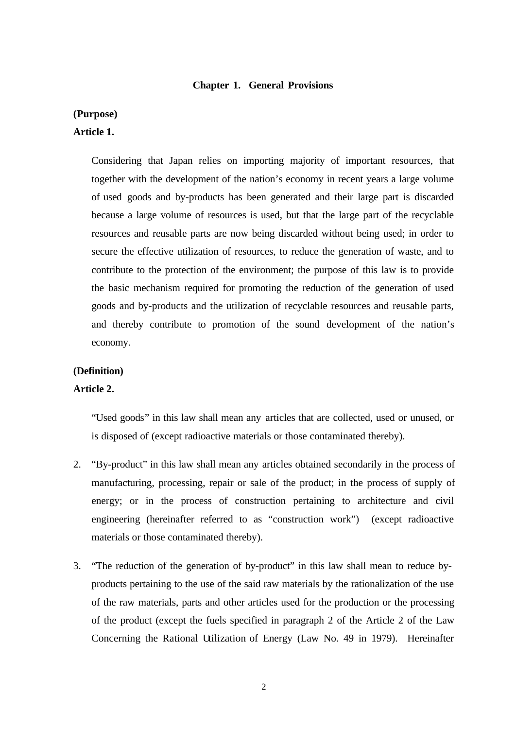#### **Chapter 1. General Provisions**

#### **(Purpose)**

#### **Article 1.**

Considering that Japan relies on importing majority of important resources, that together with the development of the nation's economy in recent years a large volume of used goods and by-products has been generated and their large part is discarded because a large volume of resources is used, but that the large part of the recyclable resources and reusable parts are now being discarded without being used; in order to secure the effective utilization of resources, to reduce the generation of waste, and to contribute to the protection of the environment; the purpose of this law is to provide the basic mechanism required for promoting the reduction of the generation of used goods and by-products and the utilization of recyclable resources and reusable parts, and thereby contribute to promotion of the sound development of the nation's economy.

#### **(Definition)**

#### **Article 2.**

"Used goods" in this law shall mean any articles that are collected, used or unused, or is disposed of (except radioactive materials or those contaminated thereby).

- 2. "By-product" in this law shall mean any articles obtained secondarily in the process of manufacturing, processing, repair or sale of the product; in the process of supply of energy; or in the process of construction pertaining to architecture and civil engineering (hereinafter referred to as "construction work") (except radioactive materials or those contaminated thereby).
- 3. "The reduction of the generation of by-product" in this law shall mean to reduce byproducts pertaining to the use of the said raw materials by the rationalization of the use of the raw materials, parts and other articles used for the production or the processing of the product (except the fuels specified in paragraph 2 of the Article 2 of the Law Concerning the Rational Utilization of Energy (Law No. 49 in 1979). Hereinafter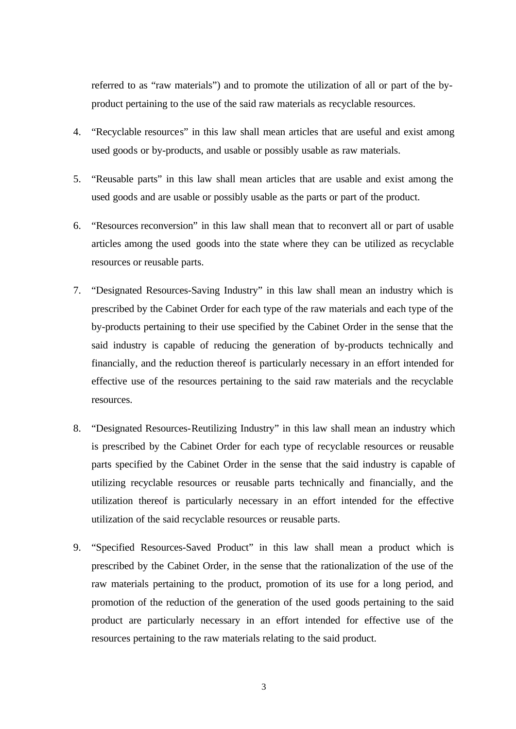referred to as "raw materials") and to promote the utilization of all or part of the byproduct pertaining to the use of the said raw materials as recyclable resources.

- 4. "Recyclable resources" in this law shall mean articles that are useful and exist among used goods or by-products, and usable or possibly usable as raw materials.
- 5. "Reusable parts" in this law shall mean articles that are usable and exist among the used goods and are usable or possibly usable as the parts or part of the product.
- 6. "Resources reconversion" in this law shall mean that to reconvert all or part of usable articles among the used goods into the state where they can be utilized as recyclable resources or reusable parts.
- 7. "Designated Resources-Saving Industry" in this law shall mean an industry which is prescribed by the Cabinet Order for each type of the raw materials and each type of the by-products pertaining to their use specified by the Cabinet Order in the sense that the said industry is capable of reducing the generation of by-products technically and financially, and the reduction thereof is particularly necessary in an effort intended for effective use of the resources pertaining to the said raw materials and the recyclable resources.
- 8. "Designated Resources-Reutilizing Industry" in this law shall mean an industry which is prescribed by the Cabinet Order for each type of recyclable resources or reusable parts specified by the Cabinet Order in the sense that the said industry is capable of utilizing recyclable resources or reusable parts technically and financially, and the utilization thereof is particularly necessary in an effort intended for the effective utilization of the said recyclable resources or reusable parts.
- 9. "Specified Resources-Saved Product" in this law shall mean a product which is prescribed by the Cabinet Order, in the sense that the rationalization of the use of the raw materials pertaining to the product, promotion of its use for a long period, and promotion of the reduction of the generation of the used goods pertaining to the said product are particularly necessary in an effort intended for effective use of the resources pertaining to the raw materials relating to the said product.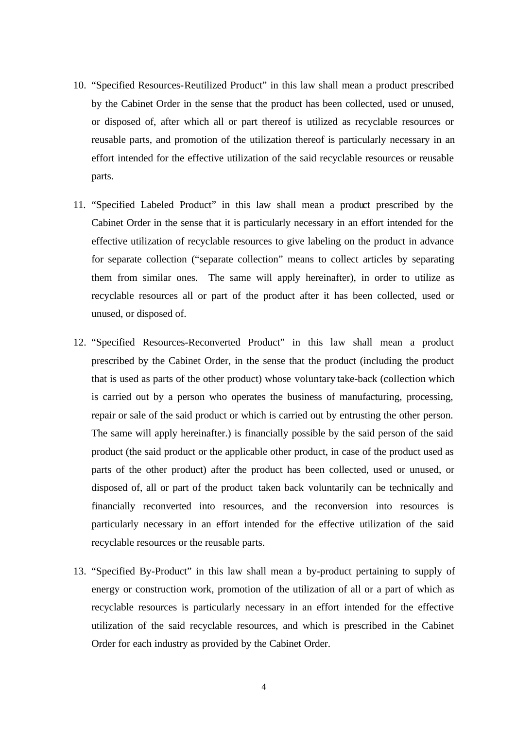- 10. "Specified Resources-Reutilized Product" in this law shall mean a product prescribed by the Cabinet Order in the sense that the product has been collected, used or unused, or disposed of, after which all or part thereof is utilized as recyclable resources or reusable parts, and promotion of the utilization thereof is particularly necessary in an effort intended for the effective utilization of the said recyclable resources or reusable parts.
- 11. "Specified Labeled Product" in this law shall mean a product prescribed by the Cabinet Order in the sense that it is particularly necessary in an effort intended for the effective utilization of recyclable resources to give labeling on the product in advance for separate collection ("separate collection" means to collect articles by separating them from similar ones. The same will apply hereinafter), in order to utilize as recyclable resources all or part of the product after it has been collected, used or unused, or disposed of.
- 12. "Specified Resources-Reconverted Product" in this law shall mean a product prescribed by the Cabinet Order, in the sense that the product (including the product that is used as parts of the other product) whose voluntary take-back (collection which is carried out by a person who operates the business of manufacturing, processing, repair or sale of the said product or which is carried out by entrusting the other person. The same will apply hereinafter.) is financially possible by the said person of the said product (the said product or the applicable other product, in case of the product used as parts of the other product) after the product has been collected, used or unused, or disposed of, all or part of the product taken back voluntarily can be technically and financially reconverted into resources, and the reconversion into resources is particularly necessary in an effort intended for the effective utilization of the said recyclable resources or the reusable parts.
- 13. "Specified By-Product" in this law shall mean a by-product pertaining to supply of energy or construction work, promotion of the utilization of all or a part of which as recyclable resources is particularly necessary in an effort intended for the effective utilization of the said recyclable resources, and which is prescribed in the Cabinet Order for each industry as provided by the Cabinet Order.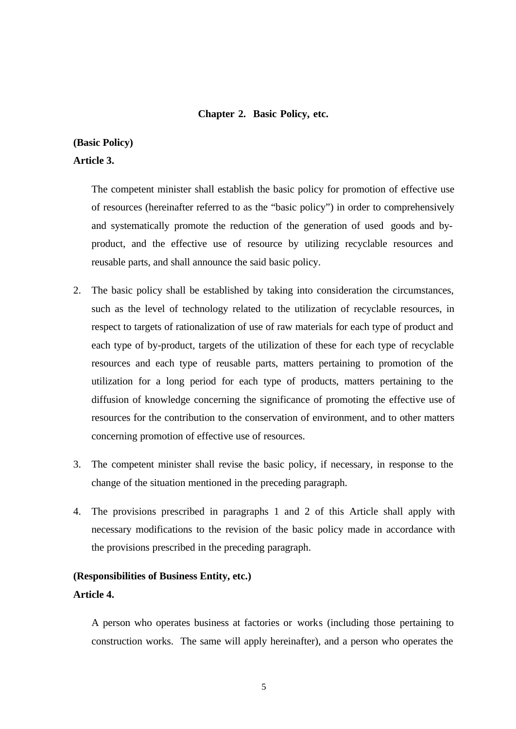#### **Chapter 2. Basic Policy, etc.**

### **(Basic Policy)**

#### **Article 3.**

The competent minister shall establish the basic policy for promotion of effective use of resources (hereinafter referred to as the "basic policy") in order to comprehensively and systematically promote the reduction of the generation of used goods and byproduct, and the effective use of resource by utilizing recyclable resources and reusable parts, and shall announce the said basic policy.

- 2. The basic policy shall be established by taking into consideration the circumstances, such as the level of technology related to the utilization of recyclable resources, in respect to targets of rationalization of use of raw materials for each type of product and each type of by-product, targets of the utilization of these for each type of recyclable resources and each type of reusable parts, matters pertaining to promotion of the utilization for a long period for each type of products, matters pertaining to the diffusion of knowledge concerning the significance of promoting the effective use of resources for the contribution to the conservation of environment, and to other matters concerning promotion of effective use of resources.
- 3. The competent minister shall revise the basic policy, if necessary, in response to the change of the situation mentioned in the preceding paragraph.
- 4. The provisions prescribed in paragraphs 1 and 2 of this Article shall apply with necessary modifications to the revision of the basic policy made in accordance with the provisions prescribed in the preceding paragraph.

#### **(Responsibilities of Business Entity, etc.)**

#### **Article 4.**

A person who operates business at factories or works (including those pertaining to construction works. The same will apply hereinafter), and a person who operates the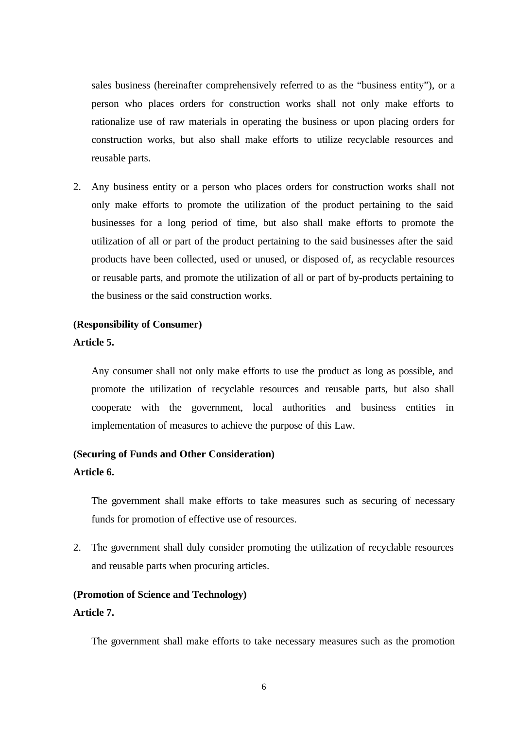sales business (hereinafter comprehensively referred to as the "business entity"), or a person who places orders for construction works shall not only make efforts to rationalize use of raw materials in operating the business or upon placing orders for construction works, but also shall make efforts to utilize recyclable resources and reusable parts.

2. Any business entity or a person who places orders for construction works shall not only make efforts to promote the utilization of the product pertaining to the said businesses for a long period of time, but also shall make efforts to promote the utilization of all or part of the product pertaining to the said businesses after the said products have been collected, used or unused, or disposed of, as recyclable resources or reusable parts, and promote the utilization of all or part of by-products pertaining to the business or the said construction works.

#### **(Responsibility of Consumer)**

#### **Article 5.**

Any consumer shall not only make efforts to use the product as long as possible, and promote the utilization of recyclable resources and reusable parts, but also shall cooperate with the government, local authorities and business entities in implementation of measures to achieve the purpose of this Law.

#### **(Securing of Funds and Other Consideration)**

#### **Article 6.**

The government shall make efforts to take measures such as securing of necessary funds for promotion of effective use of resources.

2. The government shall duly consider promoting the utilization of recyclable resources and reusable parts when procuring articles.

#### **(Promotion of Science and Technology)**

#### **Article 7.**

The government shall make efforts to take necessary measures such as the promotion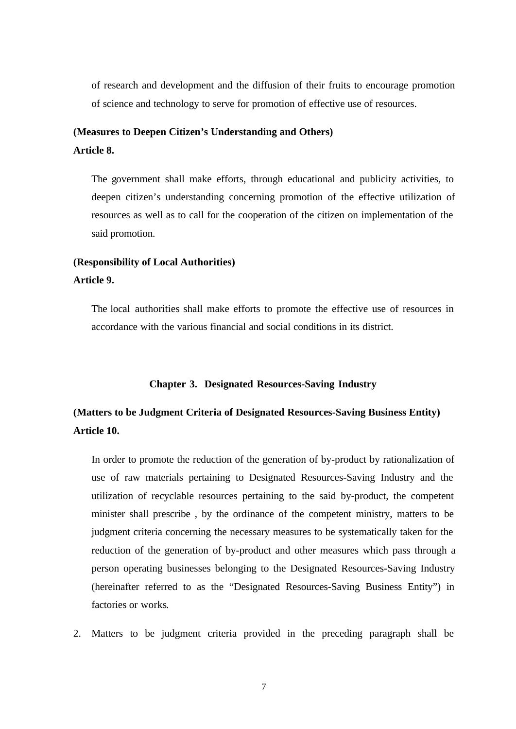of research and development and the diffusion of their fruits to encourage promotion of science and technology to serve for promotion of effective use of resources.

### **(Measures to Deepen Citizen's Understanding and Others)**

**Article 8.**

The government shall make efforts, through educational and publicity activities, to deepen citizen's understanding concerning promotion of the effective utilization of resources as well as to call for the cooperation of the citizen on implementation of the said promotion.

### **(Responsibility of Local Authorities) Article 9.**

The local authorities shall make efforts to promote the effective use of resources in accordance with the various financial and social conditions in its district.

#### **Chapter 3. Designated Resources-Saving Industry**

### **(Matters to be Judgment Criteria of Designated Resources-Saving Business Entity) Article 10.**

In order to promote the reduction of the generation of by-product by rationalization of use of raw materials pertaining to Designated Resources-Saving Industry and the utilization of recyclable resources pertaining to the said by-product, the competent minister shall prescribe , by the ordinance of the competent ministry, matters to be judgment criteria concerning the necessary measures to be systematically taken for the reduction of the generation of by-product and other measures which pass through a person operating businesses belonging to the Designated Resources-Saving Industry (hereinafter referred to as the "Designated Resources-Saving Business Entity") in factories or works.

2. Matters to be judgment criteria provided in the preceding paragraph shall be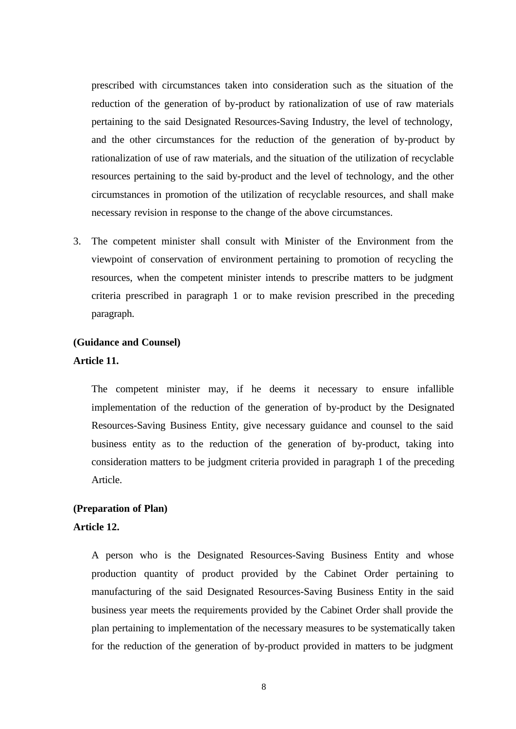prescribed with circumstances taken into consideration such as the situation of the reduction of the generation of by-product by rationalization of use of raw materials pertaining to the said Designated Resources-Saving Industry, the level of technology, and the other circumstances for the reduction of the generation of by-product by rationalization of use of raw materials, and the situation of the utilization of recyclable resources pertaining to the said by-product and the level of technology, and the other circumstances in promotion of the utilization of recyclable resources, and shall make necessary revision in response to the change of the above circumstances.

3. The competent minister shall consult with Minister of the Environment from the viewpoint of conservation of environment pertaining to promotion of recycling the resources, when the competent minister intends to prescribe matters to be judgment criteria prescribed in paragraph 1 or to make revision prescribed in the preceding paragraph.

#### **(Guidance and Counsel)**

#### **Article 11.**

The competent minister may, if he deems it necessary to ensure infallible implementation of the reduction of the generation of by-product by the Designated Resources-Saving Business Entity, give necessary guidance and counsel to the said business entity as to the reduction of the generation of by-product, taking into consideration matters to be judgment criteria provided in paragraph 1 of the preceding Article.

#### **(Preparation of Plan)**

#### **Article 12.**

A person who is the Designated Resources-Saving Business Entity and whose production quantity of product provided by the Cabinet Order pertaining to manufacturing of the said Designated Resources-Saving Business Entity in the said business year meets the requirements provided by the Cabinet Order shall provide the plan pertaining to implementation of the necessary measures to be systematically taken for the reduction of the generation of by-product provided in matters to be judgment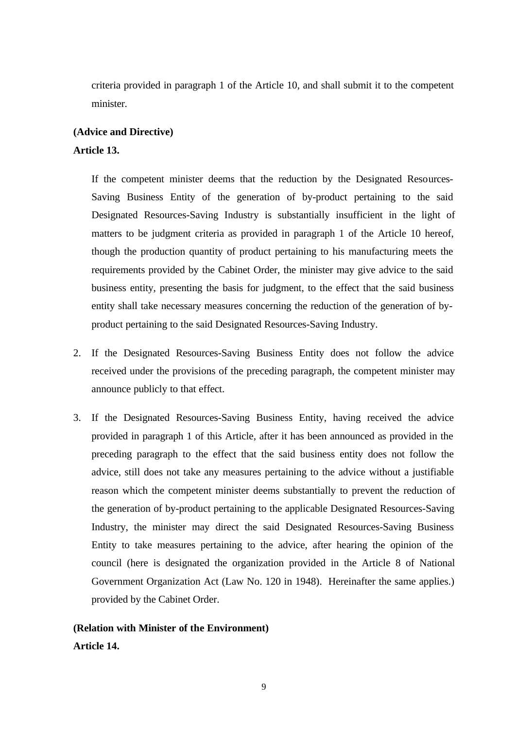criteria provided in paragraph 1 of the Article 10, and shall submit it to the competent minister.

### **(Advice and Directive) Article 13.**

If the competent minister deems that the reduction by the Designated Resources-Saving Business Entity of the generation of by-product pertaining to the said Designated Resources-Saving Industry is substantially insufficient in the light of matters to be judgment criteria as provided in paragraph 1 of the Article 10 hereof, though the production quantity of product pertaining to his manufacturing meets the requirements provided by the Cabinet Order, the minister may give advice to the said business entity, presenting the basis for judgment, to the effect that the said business entity shall take necessary measures concerning the reduction of the generation of byproduct pertaining to the said Designated Resources-Saving Industry.

- 2. If the Designated Resources-Saving Business Entity does not follow the advice received under the provisions of the preceding paragraph, the competent minister may announce publicly to that effect.
- 3. If the Designated Resources-Saving Business Entity, having received the advice provided in paragraph 1 of this Article, after it has been announced as provided in the preceding paragraph to the effect that the said business entity does not follow the advice, still does not take any measures pertaining to the advice without a justifiable reason which the competent minister deems substantially to prevent the reduction of the generation of by-product pertaining to the applicable Designated Resources-Saving Industry, the minister may direct the said Designated Resources-Saving Business Entity to take measures pertaining to the advice, after hearing the opinion of the council (here is designated the organization provided in the Article 8 of National Government Organization Act (Law No. 120 in 1948). Hereinafter the same applies.) provided by the Cabinet Order.

**(Relation with Minister of the Environment) Article 14.**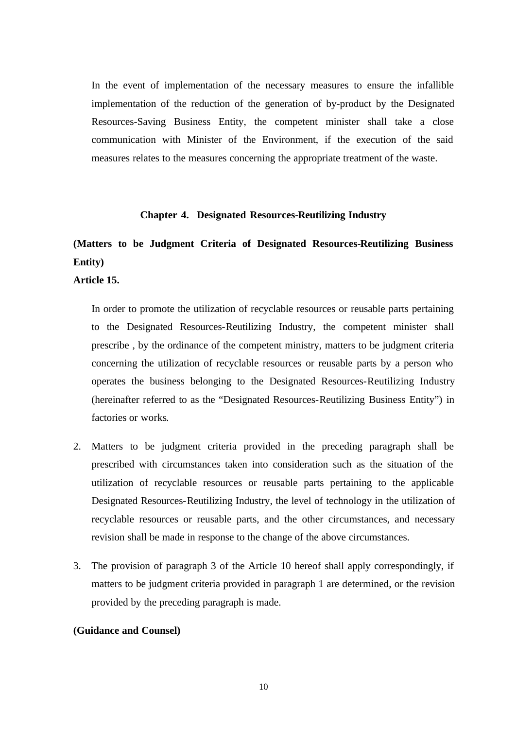In the event of implementation of the necessary measures to ensure the infallible implementation of the reduction of the generation of by-product by the Designated Resources-Saving Business Entity, the competent minister shall take a close communication with Minister of the Environment, if the execution of the said measures relates to the measures concerning the appropriate treatment of the waste.

#### **Chapter 4. Designated Resources-Reutilizing Industry**

### **(Matters to be Judgment Criteria of Designated Resources-Reutilizing Business Entity)**

**Article 15.**

In order to promote the utilization of recyclable resources or reusable parts pertaining to the Designated Resources-Reutilizing Industry, the competent minister shall prescribe , by the ordinance of the competent ministry, matters to be judgment criteria concerning the utilization of recyclable resources or reusable parts by a person who operates the business belonging to the Designated Resources-Reutilizing Industry (hereinafter referred to as the "Designated Resources-Reutilizing Business Entity") in factories or works.

- 2. Matters to be judgment criteria provided in the preceding paragraph shall be prescribed with circumstances taken into consideration such as the situation of the utilization of recyclable resources or reusable parts pertaining to the applicable Designated Resources-Reutilizing Industry, the level of technology in the utilization of recyclable resources or reusable parts, and the other circumstances, and necessary revision shall be made in response to the change of the above circumstances.
- 3. The provision of paragraph 3 of the Article 10 hereof shall apply correspondingly, if matters to be judgment criteria provided in paragraph 1 are determined, or the revision provided by the preceding paragraph is made.

#### **(Guidance and Counsel)**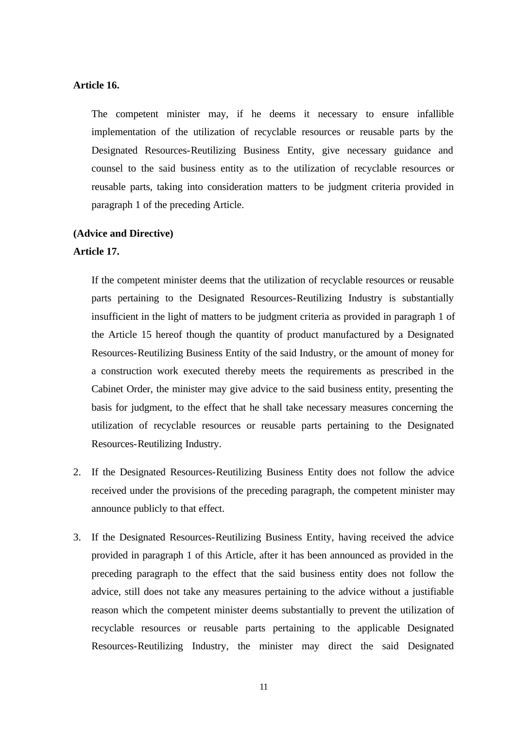#### **Article 16.**

The competent minister may, if he deems it necessary to ensure infallible implementation of the utilization of recyclable resources or reusable parts by the Designated Resources-Reutilizing Business Entity, give necessary guidance and counsel to the said business entity as to the utilization of recyclable resources or reusable parts, taking into consideration matters to be judgment criteria provided in paragraph 1 of the preceding Article.

#### **(Advice and Directive)**

#### **Article 17.**

If the competent minister deems that the utilization of recyclable resources or reusable parts pertaining to the Designated Resources-Reutilizing Industry is substantially insufficient in the light of matters to be judgment criteria as provided in paragraph 1 of the Article 15 hereof though the quantity of product manufactured by a Designated Resources-Reutilizing Business Entity of the said Industry, or the amount of money for a construction work executed thereby meets the requirements as prescribed in the Cabinet Order, the minister may give advice to the said business entity, presenting the basis for judgment, to the effect that he shall take necessary measures concerning the utilization of recyclable resources or reusable parts pertaining to the Designated Resources-Reutilizing Industry.

- 2. If the Designated Resources-Reutilizing Business Entity does not follow the advice received under the provisions of the preceding paragraph, the competent minister may announce publicly to that effect.
- 3. If the Designated Resources-Reutilizing Business Entity, having received the advice provided in paragraph 1 of this Article, after it has been announced as provided in the preceding paragraph to the effect that the said business entity does not follow the advice, still does not take any measures pertaining to the advice without a justifiable reason which the competent minister deems substantially to prevent the utilization of recyclable resources or reusable parts pertaining to the applicable Designated Resources-Reutilizing Industry, the minister may direct the said Designated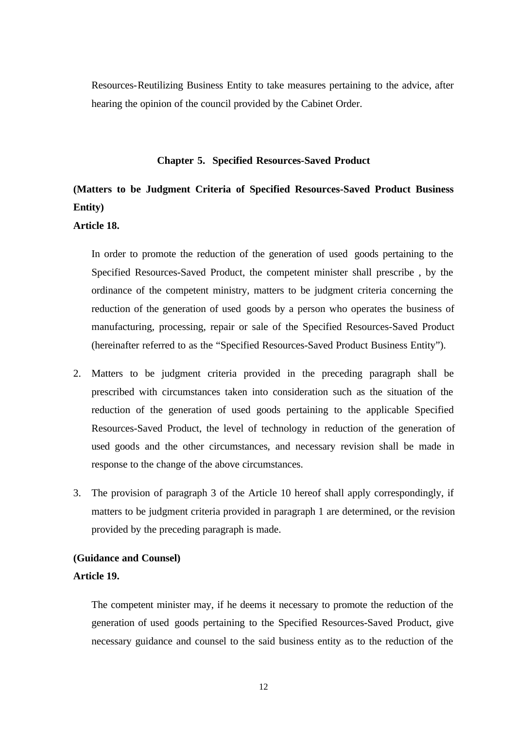Resources-Reutilizing Business Entity to take measures pertaining to the advice, after hearing the opinion of the council provided by the Cabinet Order.

#### **Chapter 5. Specified Resources-Saved Product**

### **(Matters to be Judgment Criteria of Specified Resources-Saved Product Business Entity)**

#### **Article 18.**

In order to promote the reduction of the generation of used goods pertaining to the Specified Resources-Saved Product, the competent minister shall prescribe , by the ordinance of the competent ministry, matters to be judgment criteria concerning the reduction of the generation of used goods by a person who operates the business of manufacturing, processing, repair or sale of the Specified Resources-Saved Product (hereinafter referred to as the "Specified Resources-Saved Product Business Entity").

- 2. Matters to be judgment criteria provided in the preceding paragraph shall be prescribed with circumstances taken into consideration such as the situation of the reduction of the generation of used goods pertaining to the applicable Specified Resources-Saved Product, the level of technology in reduction of the generation of used goods and the other circumstances, and necessary revision shall be made in response to the change of the above circumstances.
- 3. The provision of paragraph 3 of the Article 10 hereof shall apply correspondingly, if matters to be judgment criteria provided in paragraph 1 are determined, or the revision provided by the preceding paragraph is made.

#### **(Guidance and Counsel)**

#### **Article 19.**

The competent minister may, if he deems it necessary to promote the reduction of the generation of used goods pertaining to the Specified Resources-Saved Product, give necessary guidance and counsel to the said business entity as to the reduction of the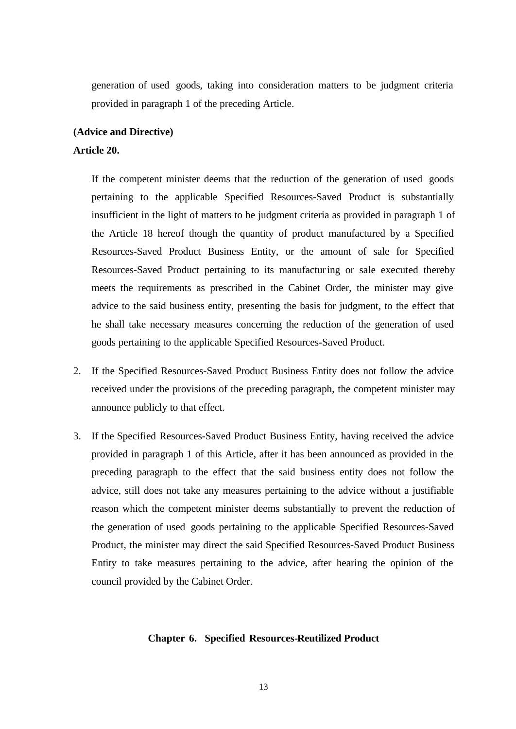generation of used goods, taking into consideration matters to be judgment criteria provided in paragraph 1 of the preceding Article.

#### **(Advice and Directive)**

#### **Article 20.**

If the competent minister deems that the reduction of the generation of used goods pertaining to the applicable Specified Resources-Saved Product is substantially insufficient in the light of matters to be judgment criteria as provided in paragraph 1 of the Article 18 hereof though the quantity of product manufactured by a Specified Resources-Saved Product Business Entity, or the amount of sale for Specified Resources-Saved Product pertaining to its manufacturing or sale executed thereby meets the requirements as prescribed in the Cabinet Order, the minister may give advice to the said business entity, presenting the basis for judgment, to the effect that he shall take necessary measures concerning the reduction of the generation of used goods pertaining to the applicable Specified Resources-Saved Product.

- 2. If the Specified Resources-Saved Product Business Entity does not follow the advice received under the provisions of the preceding paragraph, the competent minister may announce publicly to that effect.
- 3. If the Specified Resources-Saved Product Business Entity, having received the advice provided in paragraph 1 of this Article, after it has been announced as provided in the preceding paragraph to the effect that the said business entity does not follow the advice, still does not take any measures pertaining to the advice without a justifiable reason which the competent minister deems substantially to prevent the reduction of the generation of used goods pertaining to the applicable Specified Resources-Saved Product, the minister may direct the said Specified Resources-Saved Product Business Entity to take measures pertaining to the advice, after hearing the opinion of the council provided by the Cabinet Order.

#### **Chapter 6. Specified Resources-Reutilized Product**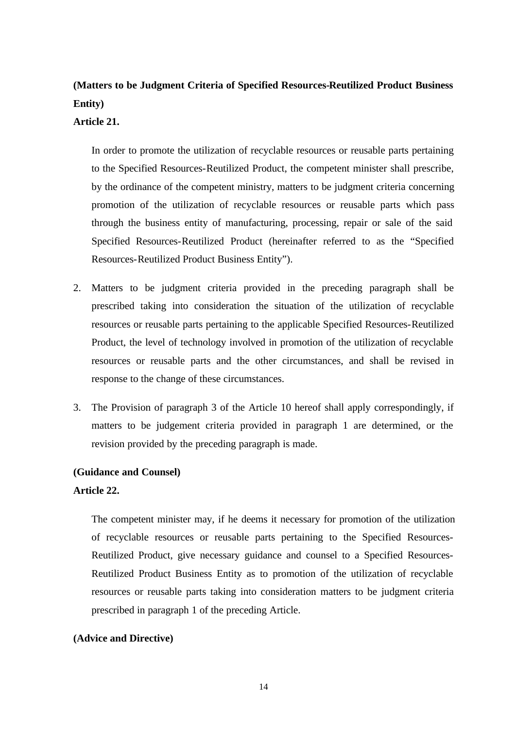### **(Matters to be Judgment Criteria of Specified Resources-Reutilized Product Business Entity)**

#### **Article 21.**

In order to promote the utilization of recyclable resources or reusable parts pertaining to the Specified Resources-Reutilized Product, the competent minister shall prescribe, by the ordinance of the competent ministry, matters to be judgment criteria concerning promotion of the utilization of recyclable resources or reusable parts which pass through the business entity of manufacturing, processing, repair or sale of the said Specified Resources-Reutilized Product (hereinafter referred to as the "Specified Resources-Reutilized Product Business Entity").

- 2. Matters to be judgment criteria provided in the preceding paragraph shall be prescribed taking into consideration the situation of the utilization of recyclable resources or reusable parts pertaining to the applicable Specified Resources-Reutilized Product, the level of technology involved in promotion of the utilization of recyclable resources or reusable parts and the other circumstances, and shall be revised in response to the change of these circumstances.
- 3. The Provision of paragraph 3 of the Article 10 hereof shall apply correspondingly, if matters to be judgement criteria provided in paragraph 1 are determined, or the revision provided by the preceding paragraph is made.

#### **(Guidance and Counsel)**

#### **Article 22.**

The competent minister may, if he deems it necessary for promotion of the utilization of recyclable resources or reusable parts pertaining to the Specified Resources-Reutilized Product, give necessary guidance and counsel to a Specified Resources-Reutilized Product Business Entity as to promotion of the utilization of recyclable resources or reusable parts taking into consideration matters to be judgment criteria prescribed in paragraph 1 of the preceding Article.

#### **(Advice and Directive)**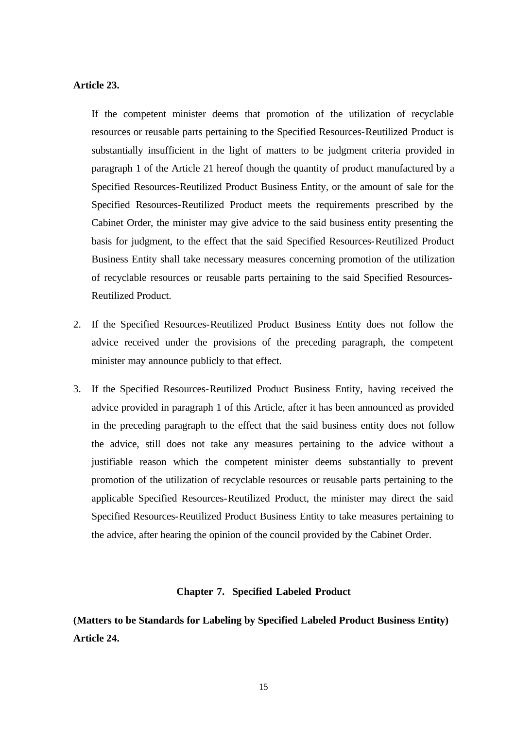#### **Article 23.**

If the competent minister deems that promotion of the utilization of recyclable resources or reusable parts pertaining to the Specified Resources-Reutilized Product is substantially insufficient in the light of matters to be judgment criteria provided in paragraph 1 of the Article 21 hereof though the quantity of product manufactured by a Specified Resources-Reutilized Product Business Entity, or the amount of sale for the Specified Resources-Reutilized Product meets the requirements prescribed by the Cabinet Order, the minister may give advice to the said business entity presenting the basis for judgment, to the effect that the said Specified Resources-Reutilized Product Business Entity shall take necessary measures concerning promotion of the utilization of recyclable resources or reusable parts pertaining to the said Specified Resources-Reutilized Product.

- 2. If the Specified Resources-Reutilized Product Business Entity does not follow the advice received under the provisions of the preceding paragraph, the competent minister may announce publicly to that effect.
- 3. If the Specified Resources-Reutilized Product Business Entity, having received the advice provided in paragraph 1 of this Article, after it has been announced as provided in the preceding paragraph to the effect that the said business entity does not follow the advice, still does not take any measures pertaining to the advice without a justifiable reason which the competent minister deems substantially to prevent promotion of the utilization of recyclable resources or reusable parts pertaining to the applicable Specified Resources-Reutilized Product, the minister may direct the said Specified Resources-Reutilized Product Business Entity to take measures pertaining to the advice, after hearing the opinion of the council provided by the Cabinet Order.

#### **Chapter 7. Specified Labeled Product**

**(Matters to be Standards for Labeling by Specified Labeled Product Business Entity) Article 24.**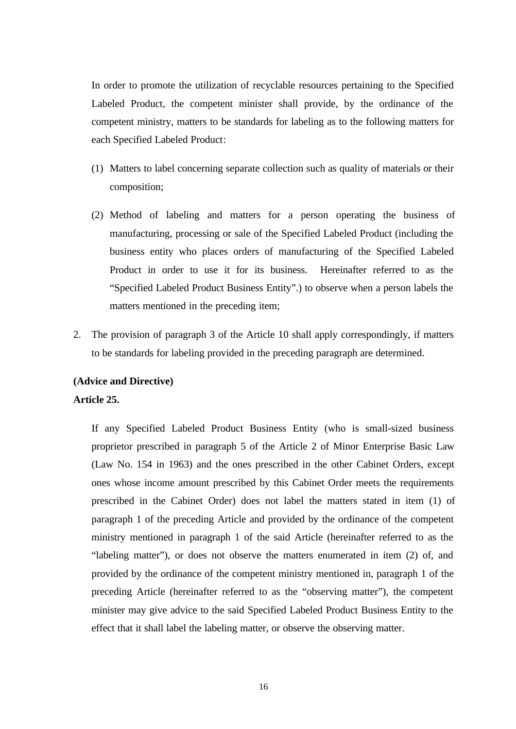In order to promote the utilization of recyclable resources pertaining to the Specified Labeled Product, the competent minister shall provide, by the ordinance of the competent ministry, matters to be standards for labeling as to the following matters for each Specified Labeled Product:

- (1) Matters to label concerning separate collection such as quality of materials or their composition;
- (2) Method of labeling and matters for a person operating the business of manufacturing, processing or sale of the Specified Labeled Product (including the business entity who places orders of manufacturing of the Specified Labeled Product in order to use it for its business. Hereinafter referred to as the "Specified Labeled Product Business Entity".) to observe when a person labels the matters mentioned in the preceding item;
- 2. The provision of paragraph 3 of the Article 10 shall apply correspondingly, if matters to be standards for labeling provided in the preceding paragraph are determined.

#### **(Advice and Directive)**

#### **Article 25.**

If any Specified Labeled Product Business Entity (who is small-sized business proprietor prescribed in paragraph 5 of the Article 2 of Minor Enterprise Basic Law (Law No. 154 in 1963) and the ones prescribed in the other Cabinet Orders, except ones whose income amount prescribed by this Cabinet Order meets the requirements prescribed in the Cabinet Order) does not label the matters stated in item (1) of paragraph 1 of the preceding Article and provided by the ordinance of the competent ministry mentioned in paragraph 1 of the said Article (hereinafter referred to as the "labeling matter"), or does not observe the matters enumerated in item (2) of, and provided by the ordinance of the competent ministry mentioned in, paragraph 1 of the preceding Article (hereinafter referred to as the "observing matter"), the competent minister may give advice to the said Specified Labeled Product Business Entity to the effect that it shall label the labeling matter, or observe the observing matter.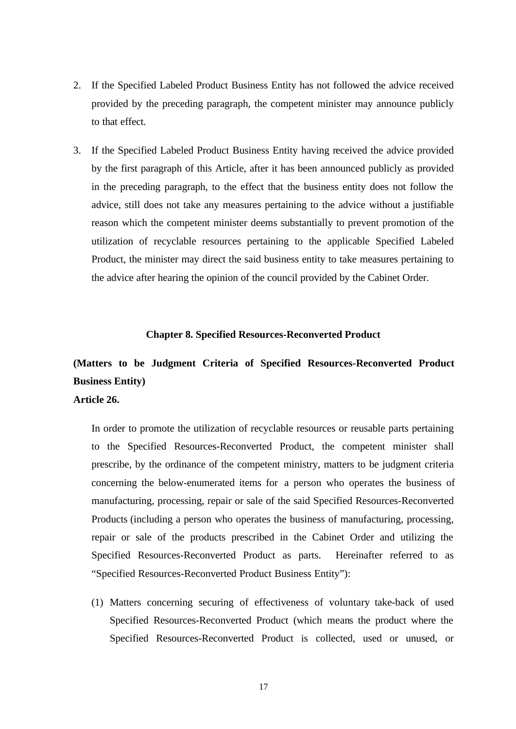- 2. If the Specified Labeled Product Business Entity has not followed the advice received provided by the preceding paragraph, the competent minister may announce publicly to that effect.
- 3. If the Specified Labeled Product Business Entity having received the advice provided by the first paragraph of this Article, after it has been announced publicly as provided in the preceding paragraph, to the effect that the business entity does not follow the advice, still does not take any measures pertaining to the advice without a justifiable reason which the competent minister deems substantially to prevent promotion of the utilization of recyclable resources pertaining to the applicable Specified Labeled Product, the minister may direct the said business entity to take measures pertaining to the advice after hearing the opinion of the council provided by the Cabinet Order.

#### **Chapter 8. Specified Resources-Reconverted Product**

### **(Matters to be Judgment Criteria of Specified Resources-Reconverted Product Business Entity)**

#### **Article 26.**

In order to promote the utilization of recyclable resources or reusable parts pertaining to the Specified Resources-Reconverted Product, the competent minister shall prescribe, by the ordinance of the competent ministry, matters to be judgment criteria concerning the below-enumerated items for a person who operates the business of manufacturing, processing, repair or sale of the said Specified Resources-Reconverted Products (including a person who operates the business of manufacturing, processing, repair or sale of the products prescribed in the Cabinet Order and utilizing the Specified Resources-Reconverted Product as parts. Hereinafter referred to as "Specified Resources-Reconverted Product Business Entity"):

(1) Matters concerning securing of effectiveness of voluntary take-back of used Specified Resources-Reconverted Product (which means the product where the Specified Resources-Reconverted Product is collected, used or unused, or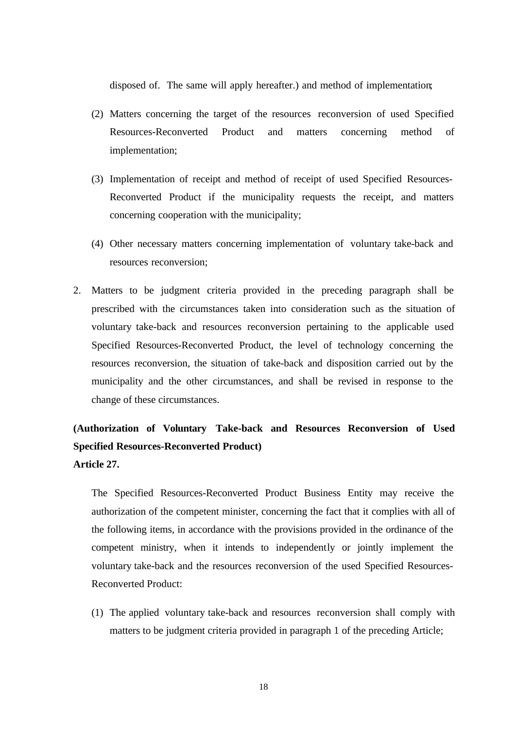disposed of. The same will apply hereafter.) and method of implementation;

- (2) Matters concerning the target of the resources reconversion of used Specified Resources-Reconverted Product and matters concerning method of implementation;
- (3) Implementation of receipt and method of receipt of used Specified Resources-Reconverted Product if the municipality requests the receipt, and matters concerning cooperation with the municipality;
- (4) Other necessary matters concerning implementation of voluntary take-back and resources reconversion;
- 2. Matters to be judgment criteria provided in the preceding paragraph shall be prescribed with the circumstances taken into consideration such as the situation of voluntary take-back and resources reconversion pertaining to the applicable used Specified Resources-Reconverted Product, the level of technology concerning the resources reconversion, the situation of take-back and disposition carried out by the municipality and the other circumstances, and shall be revised in response to the change of these circumstances.

### **(Authorization of Voluntary Take-back and Resources Reconversion of Used Specified Resources-Reconverted Product) Article 27.**

The Specified Resources-Reconverted Product Business Entity may receive the authorization of the competent minister, concerning the fact that it complies with all of the following items, in accordance with the provisions provided in the ordinance of the competent ministry, when it intends to independently or jointly implement the voluntary take-back and the resources reconversion of the used Specified Resources-Reconverted Product:

(1) The applied voluntary take-back and resources reconversion shall comply with matters to be judgment criteria provided in paragraph 1 of the preceding Article;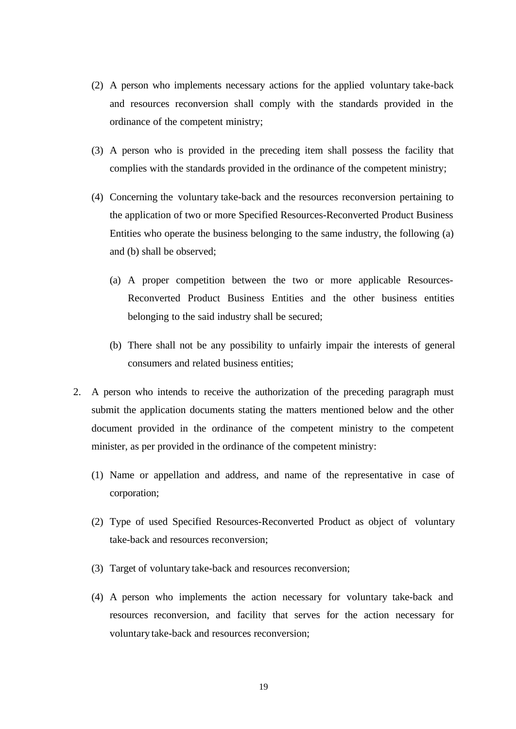- (2) A person who implements necessary actions for the applied voluntary take-back and resources reconversion shall comply with the standards provided in the ordinance of the competent ministry;
- (3) A person who is provided in the preceding item shall possess the facility that complies with the standards provided in the ordinance of the competent ministry;
- (4) Concerning the voluntary take-back and the resources reconversion pertaining to the application of two or more Specified Resources-Reconverted Product Business Entities who operate the business belonging to the same industry, the following (a) and (b) shall be observed;
	- (a) A proper competition between the two or more applicable Resources-Reconverted Product Business Entities and the other business entities belonging to the said industry shall be secured;
	- (b) There shall not be any possibility to unfairly impair the interests of general consumers and related business entities;
- 2. A person who intends to receive the authorization of the preceding paragraph must submit the application documents stating the matters mentioned below and the other document provided in the ordinance of the competent ministry to the competent minister, as per provided in the ordinance of the competent ministry:
	- (1) Name or appellation and address, and name of the representative in case of corporation;
	- (2) Type of used Specified Resources-Reconverted Product as object of voluntary take-back and resources reconversion;
	- (3) Target of voluntary take-back and resources reconversion;
	- (4) A person who implements the action necessary for voluntary take-back and resources reconversion, and facility that serves for the action necessary for voluntary take-back and resources reconversion;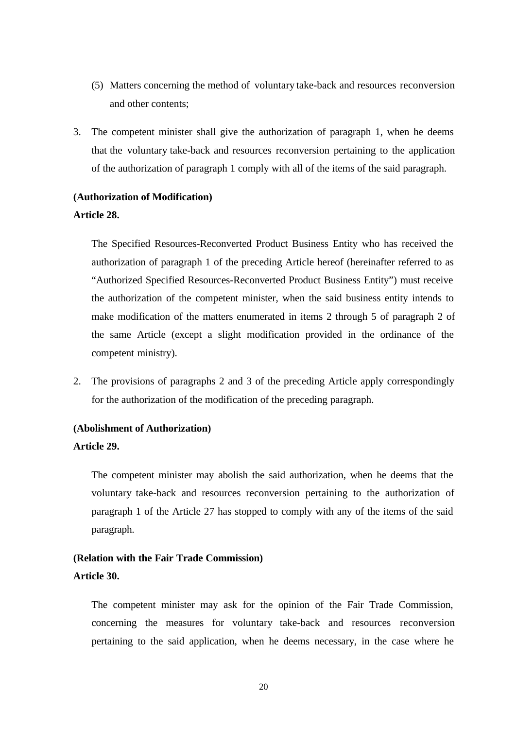- (5) Matters concerning the method of voluntary take-back and resources reconversion and other contents;
- 3. The competent minister shall give the authorization of paragraph 1, when he deems that the voluntary take-back and resources reconversion pertaining to the application of the authorization of paragraph 1 comply with all of the items of the said paragraph.

#### **(Authorization of Modification)**

#### **Article 28.**

The Specified Resources-Reconverted Product Business Entity who has received the authorization of paragraph 1 of the preceding Article hereof (hereinafter referred to as "Authorized Specified Resources-Reconverted Product Business Entity") must receive the authorization of the competent minister, when the said business entity intends to make modification of the matters enumerated in items 2 through 5 of paragraph 2 of the same Article (except a slight modification provided in the ordinance of the competent ministry).

2. The provisions of paragraphs 2 and 3 of the preceding Article apply correspondingly for the authorization of the modification of the preceding paragraph.

#### **(Abolishment of Authorization)**

#### **Article 29.**

The competent minister may abolish the said authorization, when he deems that the voluntary take-back and resources reconversion pertaining to the authorization of paragraph 1 of the Article 27 has stopped to comply with any of the items of the said paragraph.

# **(Relation with the Fair Trade Commission)**

#### **Article 30.**

The competent minister may ask for the opinion of the Fair Trade Commission, concerning the measures for voluntary take-back and resources reconversion pertaining to the said application, when he deems necessary, in the case where he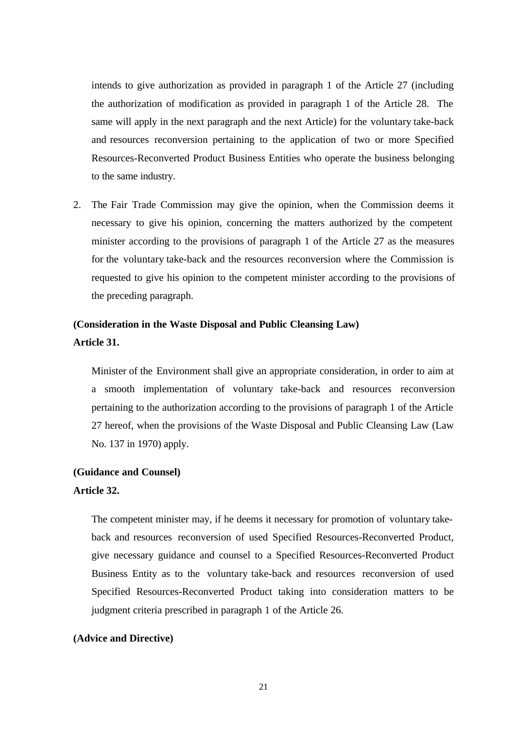intends to give authorization as provided in paragraph 1 of the Article 27 (including the authorization of modification as provided in paragraph 1 of the Article 28. The same will apply in the next paragraph and the next Article) for the voluntary take-back and resources reconversion pertaining to the application of two or more Specified Resources-Reconverted Product Business Entities who operate the business belonging to the same industry.

2. The Fair Trade Commission may give the opinion, when the Commission deems it necessary to give his opinion, concerning the matters authorized by the competent minister according to the provisions of paragraph 1 of the Article 27 as the measures for the voluntary take-back and the resources reconversion where the Commission is requested to give his opinion to the competent minister according to the provisions of the preceding paragraph.

### **(Consideration in the Waste Disposal and Public Cleansing Law) Article 31.**

Minister of the Environment shall give an appropriate consideration, in order to aim at a smooth implementation of voluntary take-back and resources reconversion pertaining to the authorization according to the provisions of paragraph 1 of the Article 27 hereof, when the provisions of the Waste Disposal and Public Cleansing Law (Law No. 137 in 1970) apply.

#### **(Guidance and Counsel)**

#### **Article 32.**

The competent minister may, if he deems it necessary for promotion of voluntary takeback and resources reconversion of used Specified Resources-Reconverted Product, give necessary guidance and counsel to a Specified Resources-Reconverted Product Business Entity as to the voluntary take-back and resources reconversion of used Specified Resources-Reconverted Product taking into consideration matters to be judgment criteria prescribed in paragraph 1 of the Article 26.

#### **(Advice and Directive)**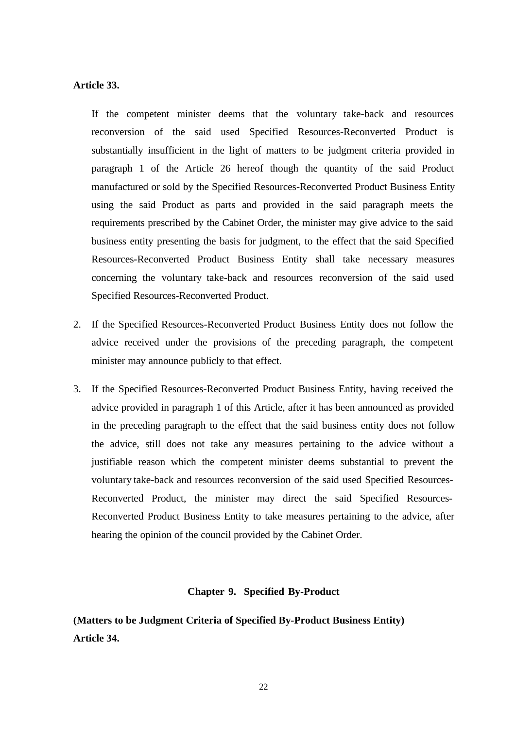#### **Article 33.**

If the competent minister deems that the voluntary take-back and resources reconversion of the said used Specified Resources-Reconverted Product is substantially insufficient in the light of matters to be judgment criteria provided in paragraph 1 of the Article 26 hereof though the quantity of the said Product manufactured or sold by the Specified Resources-Reconverted Product Business Entity using the said Product as parts and provided in the said paragraph meets the requirements prescribed by the Cabinet Order, the minister may give advice to the said business entity presenting the basis for judgment, to the effect that the said Specified Resources-Reconverted Product Business Entity shall take necessary measures concerning the voluntary take-back and resources reconversion of the said used Specified Resources-Reconverted Product.

- 2. If the Specified Resources-Reconverted Product Business Entity does not follow the advice received under the provisions of the preceding paragraph, the competent minister may announce publicly to that effect.
- 3. If the Specified Resources-Reconverted Product Business Entity, having received the advice provided in paragraph 1 of this Article, after it has been announced as provided in the preceding paragraph to the effect that the said business entity does not follow the advice, still does not take any measures pertaining to the advice without a justifiable reason which the competent minister deems substantial to prevent the voluntary take-back and resources reconversion of the said used Specified Resources-Reconverted Product, the minister may direct the said Specified Resources-Reconverted Product Business Entity to take measures pertaining to the advice, after hearing the opinion of the council provided by the Cabinet Order.

#### **Chapter 9. Specified By-Product**

**(Matters to be Judgment Criteria of Specified By-Product Business Entity) Article 34.**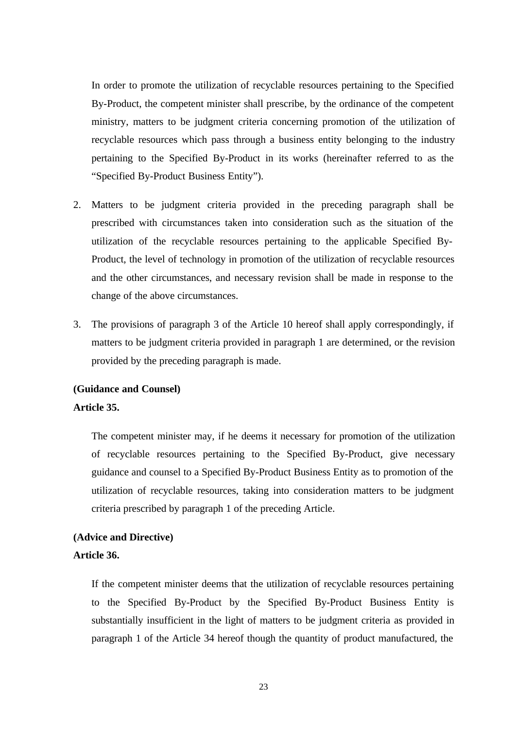In order to promote the utilization of recyclable resources pertaining to the Specified By-Product, the competent minister shall prescribe, by the ordinance of the competent ministry, matters to be judgment criteria concerning promotion of the utilization of recyclable resources which pass through a business entity belonging to the industry pertaining to the Specified By-Product in its works (hereinafter referred to as the "Specified By-Product Business Entity").

- 2. Matters to be judgment criteria provided in the preceding paragraph shall be prescribed with circumstances taken into consideration such as the situation of the utilization of the recyclable resources pertaining to the applicable Specified By-Product, the level of technology in promotion of the utilization of recyclable resources and the other circumstances, and necessary revision shall be made in response to the change of the above circumstances.
- 3. The provisions of paragraph 3 of the Article 10 hereof shall apply correspondingly, if matters to be judgment criteria provided in paragraph 1 are determined, or the revision provided by the preceding paragraph is made.

### **(Guidance and Counsel) Article 35.**

The competent minister may, if he deems it necessary for promotion of the utilization of recyclable resources pertaining to the Specified By-Product, give necessary guidance and counsel to a Specified By-Product Business Entity as to promotion of the utilization of recyclable resources, taking into consideration matters to be judgment criteria prescribed by paragraph 1 of the preceding Article.

## **(Advice and Directive)**

#### **Article 36.**

If the competent minister deems that the utilization of recyclable resources pertaining to the Specified By-Product by the Specified By-Product Business Entity is substantially insufficient in the light of matters to be judgment criteria as provided in paragraph 1 of the Article 34 hereof though the quantity of product manufactured, the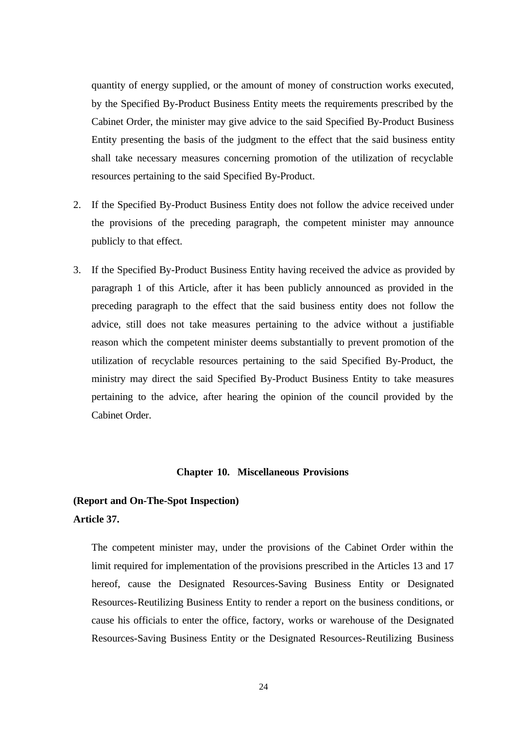quantity of energy supplied, or the amount of money of construction works executed, by the Specified By-Product Business Entity meets the requirements prescribed by the Cabinet Order, the minister may give advice to the said Specified By-Product Business Entity presenting the basis of the judgment to the effect that the said business entity shall take necessary measures concerning promotion of the utilization of recyclable resources pertaining to the said Specified By-Product.

- 2. If the Specified By-Product Business Entity does not follow the advice received under the provisions of the preceding paragraph, the competent minister may announce publicly to that effect.
- 3. If the Specified By-Product Business Entity having received the advice as provided by paragraph 1 of this Article, after it has been publicly announced as provided in the preceding paragraph to the effect that the said business entity does not follow the advice, still does not take measures pertaining to the advice without a justifiable reason which the competent minister deems substantially to prevent promotion of the utilization of recyclable resources pertaining to the said Specified By-Product, the ministry may direct the said Specified By-Product Business Entity to take measures pertaining to the advice, after hearing the opinion of the council provided by the Cabinet Order.

#### **Chapter 10. Miscellaneous Provisions**

### **(Report and On-The-Spot Inspection) Article 37.**

The competent minister may, under the provisions of the Cabinet Order within the limit required for implementation of the provisions prescribed in the Articles 13 and 17 hereof, cause the Designated Resources-Saving Business Entity or Designated Resources-Reutilizing Business Entity to render a report on the business conditions, or cause his officials to enter the office, factory, works or warehouse of the Designated Resources-Saving Business Entity or the Designated Resources-Reutilizing Business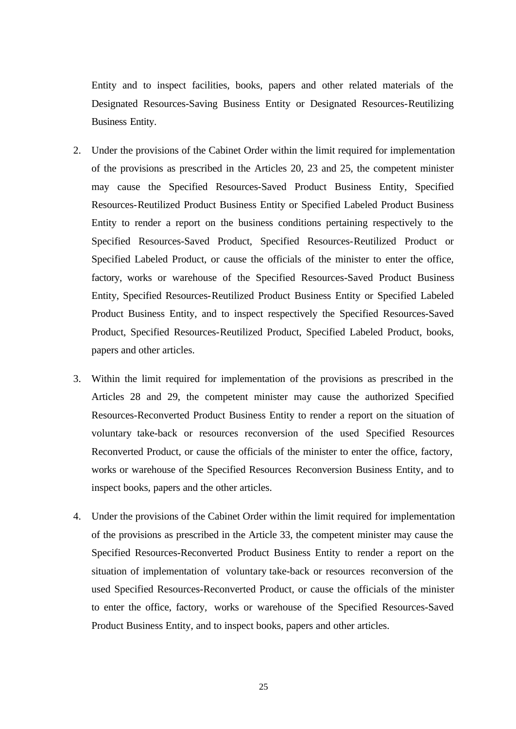Entity and to inspect facilities, books, papers and other related materials of the Designated Resources-Saving Business Entity or Designated Resources-Reutilizing Business Entity.

- 2. Under the provisions of the Cabinet Order within the limit required for implementation of the provisions as prescribed in the Articles 20, 23 and 25, the competent minister may cause the Specified Resources-Saved Product Business Entity, Specified Resources-Reutilized Product Business Entity or Specified Labeled Product Business Entity to render a report on the business conditions pertaining respectively to the Specified Resources-Saved Product, Specified Resources-Reutilized Product or Specified Labeled Product, or cause the officials of the minister to enter the office, factory, works or warehouse of the Specified Resources-Saved Product Business Entity, Specified Resources-Reutilized Product Business Entity or Specified Labeled Product Business Entity, and to inspect respectively the Specified Resources-Saved Product, Specified Resources-Reutilized Product, Specified Labeled Product, books, papers and other articles.
- 3. Within the limit required for implementation of the provisions as prescribed in the Articles 28 and 29, the competent minister may cause the authorized Specified Resources-Reconverted Product Business Entity to render a report on the situation of voluntary take-back or resources reconversion of the used Specified Resources Reconverted Product, or cause the officials of the minister to enter the office, factory, works or warehouse of the Specified Resources Reconversion Business Entity, and to inspect books, papers and the other articles.
- 4. Under the provisions of the Cabinet Order within the limit required for implementation of the provisions as prescribed in the Article 33, the competent minister may cause the Specified Resources-Reconverted Product Business Entity to render a report on the situation of implementation of voluntary take-back or resources reconversion of the used Specified Resources-Reconverted Product, or cause the officials of the minister to enter the office, factory, works or warehouse of the Specified Resources-Saved Product Business Entity, and to inspect books, papers and other articles.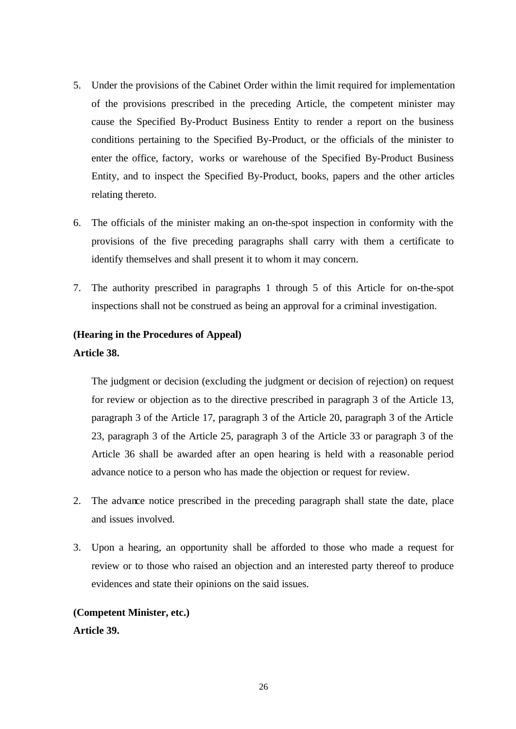- 5. Under the provisions of the Cabinet Order within the limit required for implementation of the provisions prescribed in the preceding Article, the competent minister may cause the Specified By-Product Business Entity to render a report on the business conditions pertaining to the Specified By-Product, or the officials of the minister to enter the office, factory, works or warehouse of the Specified By-Product Business Entity, and to inspect the Specified By-Product, books, papers and the other articles relating thereto.
- 6. The officials of the minister making an on-the-spot inspection in conformity with the provisions of the five preceding paragraphs shall carry with them a certificate to identify themselves and shall present it to whom it may concern.
- 7. The authority prescribed in paragraphs 1 through 5 of this Article for on-the-spot inspections shall not be construed as being an approval for a criminal investigation.

#### **(Hearing in the Procedures of Appeal)**

#### **Article 38.**

The judgment or decision (excluding the judgment or decision of rejection) on request for review or objection as to the directive prescribed in paragraph 3 of the Article 13, paragraph 3 of the Article 17, paragraph 3 of the Article 20, paragraph 3 of the Article 23, paragraph 3 of the Article 25, paragraph 3 of the Article 33 or paragraph 3 of the Article 36 shall be awarded after an open hearing is held with a reasonable period advance notice to a person who has made the objection or request for review.

- 2. The advance notice prescribed in the preceding paragraph shall state the date, place and issues involved.
- 3. Upon a hearing, an opportunity shall be afforded to those who made a request for review or to those who raised an objection and an interested party thereof to produce evidences and state their opinions on the said issues.

# **(Competent Minister, etc.)**

#### **Article 39.**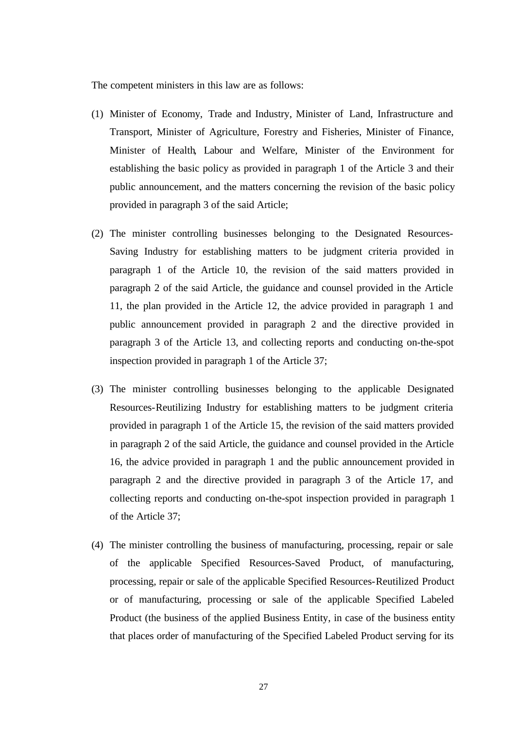The competent ministers in this law are as follows:

- (1) Minister of Economy, Trade and Industry, Minister of Land, Infrastructure and Transport, Minister of Agriculture, Forestry and Fisheries, Minister of Finance, Minister of Health, Labour and Welfare, Minister of the Environment for establishing the basic policy as provided in paragraph 1 of the Article 3 and their public announcement, and the matters concerning the revision of the basic policy provided in paragraph 3 of the said Article;
- (2) The minister controlling businesses belonging to the Designated Resources-Saving Industry for establishing matters to be judgment criteria provided in paragraph 1 of the Article 10, the revision of the said matters provided in paragraph 2 of the said Article, the guidance and counsel provided in the Article 11, the plan provided in the Article 12, the advice provided in paragraph 1 and public announcement provided in paragraph 2 and the directive provided in paragraph 3 of the Article 13, and collecting reports and conducting on-the-spot inspection provided in paragraph 1 of the Article 37;
- (3) The minister controlling businesses belonging to the applicable Designated Resources-Reutilizing Industry for establishing matters to be judgment criteria provided in paragraph 1 of the Article 15, the revision of the said matters provided in paragraph 2 of the said Article, the guidance and counsel provided in the Article 16, the advice provided in paragraph 1 and the public announcement provided in paragraph 2 and the directive provided in paragraph 3 of the Article 17, and collecting reports and conducting on-the-spot inspection provided in paragraph 1 of the Article 37;
- (4) The minister controlling the business of manufacturing, processing, repair or sale of the applicable Specified Resources-Saved Product, of manufacturing, processing, repair or sale of the applicable Specified Resources-Reutilized Product or of manufacturing, processing or sale of the applicable Specified Labeled Product (the business of the applied Business Entity, in case of the business entity that places order of manufacturing of the Specified Labeled Product serving for its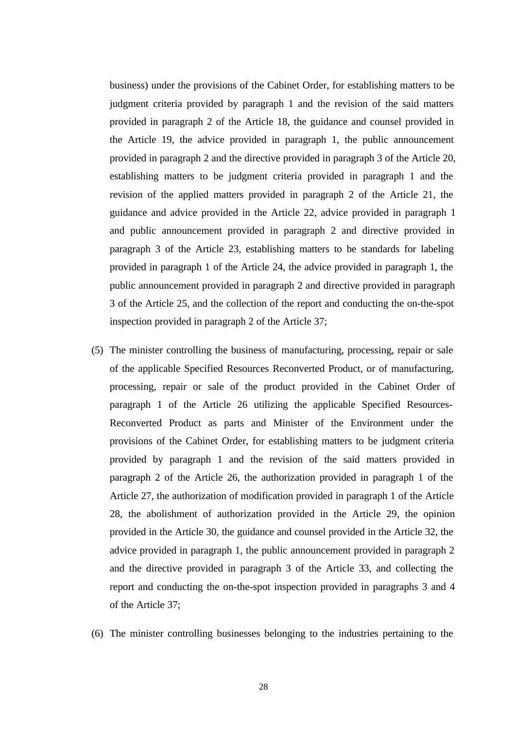business) under the provisions of the Cabinet Order, for establishing matters to be judgment criteria provided by paragraph 1 and the revision of the said matters provided in paragraph 2 of the Article 18, the guidance and counsel provided in the Article 19, the advice provided in paragraph 1, the public announcement provided in paragraph 2 and the directive provided in paragraph 3 of the Article 20, establishing matters to be judgment criteria provided in paragraph 1 and the revision of the applied matters provided in paragraph 2 of the Article 21, the guidance and advice provided in the Article 22, advice provided in paragraph 1 and public announcement provided in paragraph 2 and directive provided in paragraph 3 of the Article 23, establishing matters to be standards for labeling provided in paragraph 1 of the Article 24, the advice provided in paragraph 1, the public announcement provided in paragraph 2 and directive provided in paragraph 3 of the Article 25, and the collection of the report and conducting the on-the-spot inspection provided in paragraph 2 of the Article 37;

- (5) The minister controlling the business of manufacturing, processing, repair or sale of the applicable Specified Resources Reconverted Product, or of manufacturing, processing, repair or sale of the product provided in the Cabinet Order of paragraph 1 of the Article 26 utilizing the applicable Specified Resources-Reconverted Product as parts and Minister of the Environment under the provisions of the Cabinet Order, for establishing matters to be judgment criteria provided by paragraph 1 and the revision of the said matters provided in paragraph 2 of the Article 26, the authorization provided in paragraph 1 of the Article 27, the authorization of modification provided in paragraph 1 of the Article 28, the abolishment of authorization provided in the Article 29, the opinion provided in the Article 30, the guidance and counsel provided in the Article 32, the advice provided in paragraph 1, the public announcement provided in paragraph 2 and the directive provided in paragraph 3 of the Article 33, and collecting the report and conducting the on-the-spot inspection provided in paragraphs 3 and 4 of the Article 37;
- (6) The minister controlling businesses belonging to the industries pertaining to the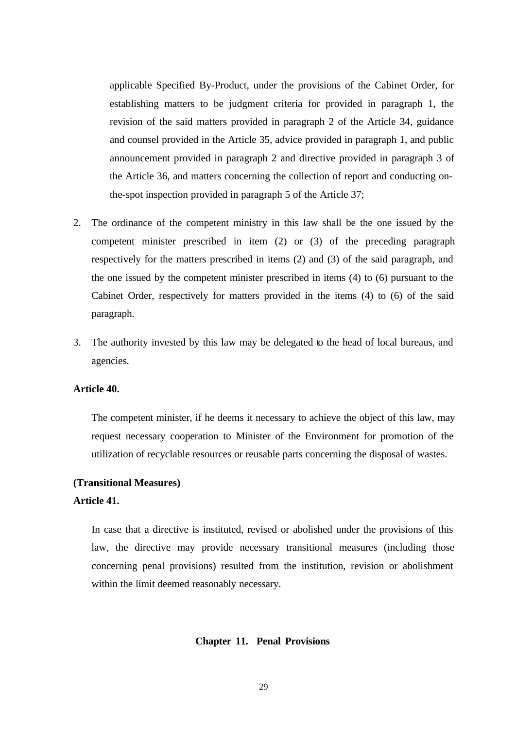applicable Specified By-Product, under the provisions of the Cabinet Order, for establishing matters to be judgment criteria for provided in paragraph 1, the revision of the said matters provided in paragraph 2 of the Article 34, guidance and counsel provided in the Article 35, advice provided in paragraph 1, and public announcement provided in paragraph 2 and directive provided in paragraph 3 of the Article 36, and matters concerning the collection of report and conducting onthe-spot inspection provided in paragraph 5 of the Article 37;

- 2. The ordinance of the competent ministry in this law shall be the one issued by the competent minister prescribed in item (2) or (3) of the preceding paragraph respectively for the matters prescribed in items (2) and (3) of the said paragraph, and the one issued by the competent minister prescribed in items (4) to (6) pursuant to the Cabinet Order, respectively for matters provided in the items (4) to (6) of the said paragraph.
- 3. The authority invested by this law may be delegated to the head of local bureaus, and agencies.

#### **Article 40.**

The competent minister, if he deems it necessary to achieve the object of this law, may request necessary cooperation to Minister of the Environment for promotion of the utilization of recyclable resources or reusable parts concerning the disposal of wastes.

#### **(Transitional Measures)**

#### **Article 41.**

In case that a directive is instituted, revised or abolished under the provisions of this law, the directive may provide necessary transitional measures (including those concerning penal provisions) resulted from the institution, revision or abolishment within the limit deemed reasonably necessary.

#### **Chapter 11. Penal Provisions**